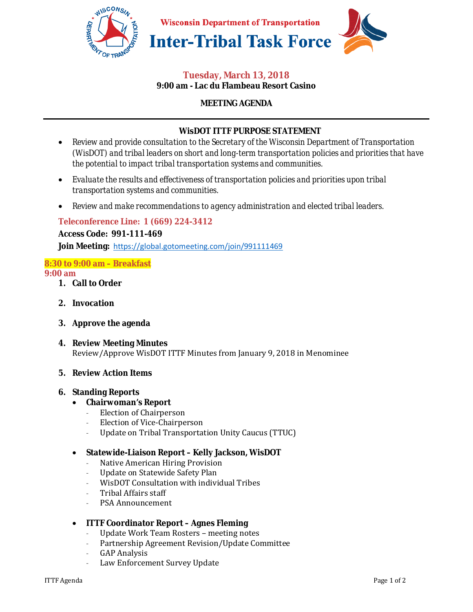

#### **Tuesday, March 13, 2018 9:00 am - Lac du Flambeau Resort Casino**

## **MEETING AGENDA**

# **WisDOT ITTF PURPOSE STATEMENT**

- *Review and provide consultation to the Secretary of the Wisconsin Department of Transportation (WisDOT) and tribal leaders on short and long-term transportation policies and priorities that have the potential to impact tribal transportation systems and communities.*
- *Evaluate the results and effectiveness of transportation policies and priorities upon tribal transportation systems and communities.*
- *Review and make recommendations to agency administration and elected tribal leaders.*

# **Teleconference Line: 1 (669) 224-3412**

**Access Code: 991-111-469** 

**Join Meeting:** https://global.gotomeeting.com/join/991111469

# **8:30 to 9:00 am – Breakfast**

#### **9:00 am**

- **1. Call to Order**
- **2. Invocation**
- **3. Approve the agenda**
- **4. Review Meeting Minutes**  Review/Approve WisDOT ITTF Minutes from January 9, 2018 in Menominee

#### **5. Review Action Items**

#### **6. Standing Reports**

- **Chairwoman's Report**
	- Election of Chairperson
	- Election of Vice-Chairperson
	- Update on Tribal Transportation Unity Caucus (TTUC)

#### • **Statewide-Liaison Report – Kelly Jackson, WisDOT**

- Native American Hiring Provision
- Update on Statewide Safety Plan
- WisDOT Consultation with individual Tribes
- Tribal Affairs staff
- PSA Announcement

#### • **ITTF Coordinator Report – Agnes Fleming**

- Update Work Team Rosters meeting notes
- Partnership Agreement Revision/Update Committee
- **GAP Analysis**
- Law Enforcement Survey Update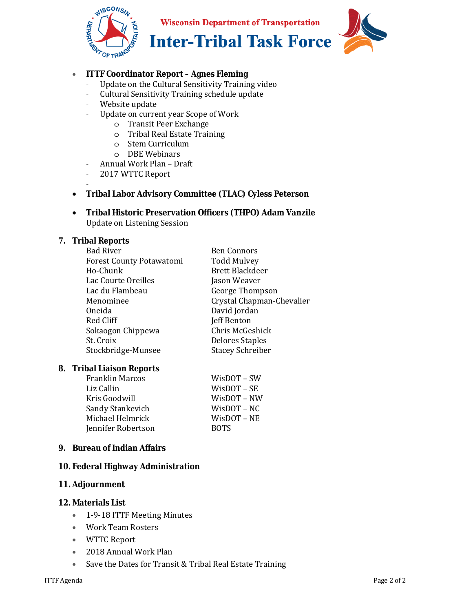

**Wisconsin Department of Transportation** 



**Inter-Tribal Task Force** 

# • **ITTF Coordinator Report – Agnes Fleming**

- Update on the Cultural Sensitivity Training video
- Cultural Sensitivity Training schedule update
- Website update
- Update on current year Scope of Work
	- o Transit Peer Exchange
	- o Tribal Real Estate Training
	- o Stem Curriculum
	- o DBE Webinars
- Annual Work Plan Draft
- 2017 WTTC Report

#### - • **Tribal Labor Advisory Committee (TLAC) Cyless Peterson**

• **Tribal Historic Preservation Officers (THPO) Adam Vanzile**  Update on Listening Session

#### **7. Tribal Reports**

| <b>Bad River</b>                | <b>Ben Connors</b>        |
|---------------------------------|---------------------------|
| <b>Forest County Potawatomi</b> | <b>Todd Mulvey</b>        |
| Ho-Chunk                        | <b>Brett Blackdeer</b>    |
| Lac Courte Oreilles             | Jason Weaver              |
| Lac du Flambeau                 | George Thompson           |
| Menominee                       | Crystal Chapman-Chevalier |
| Oneida                          | David Jordan              |
| Red Cliff                       | <b>Jeff Benton</b>        |
| Sokaogon Chippewa               | Chris McGeshick           |
| St. Croix                       | <b>Delores Staples</b>    |
| Stockbridge-Munsee              | <b>Stacey Schreiber</b>   |
|                                 |                           |

#### **8. Tribal Liaison Reports**

| <b>Franklin Marcos</b> | WisDOT – SW    |
|------------------------|----------------|
| Liz Callin             | $W$ isDOT – SE |
| Kris Goodwill          | WisDOT – NW    |
| Sandy Stankevich       | WisDOT – NC    |
| Michael Helmrick       | WisDOT – NE    |
| Jennifer Robertson     | <b>BOTS</b>    |

#### **9. Bureau of Indian Affairs**

#### **10. Federal Highway Administration**

#### **11. Adjournment**

#### **12. Materials List**

- 1-9-18 ITTF Meeting Minutes
- Work Team Rosters
- WTTC Report
- 2018 Annual Work Plan
- Save the Dates for Transit & Tribal Real Estate Training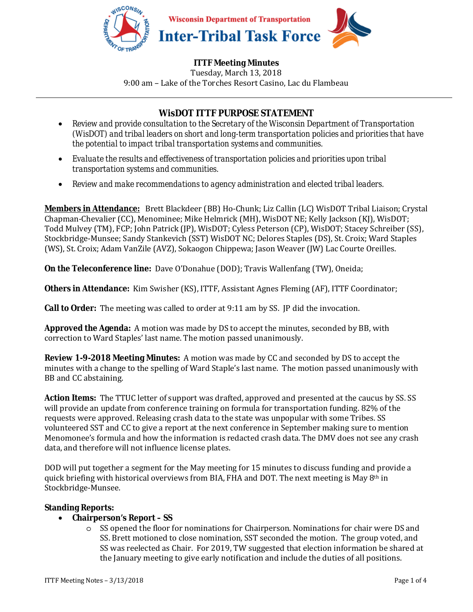

## **ITTF Meeting Minutes**

Tuesday, March 13, 2018 9:00 am – Lake of the Torches Resort Casino, Lac du Flambeau

# **WisDOT ITTF PURPOSE STATEMENT**

- *Review and provide consultation to the Secretary of the Wisconsin Department of Transportation (WisDOT) and tribal leaders on short and long-term transportation policies and priorities that have the potential to impact tribal transportation systems and communities.*
- *Evaluate the results and effectiveness of transportation policies and priorities upon tribal transportation systems and communities.*
- *Review and make recommendations to agency administration and elected tribal leaders.*

**Members in Attendance:** Brett Blackdeer (BB) Ho-Chunk; Liz Callin (LC) WisDOT Tribal Liaison; Crystal Chapman-Chevalier (CC), Menominee; Mike Helmrick (MH), WisDOT NE; Kelly Jackson (KJ), WisDOT; Todd Mulvey (TM), FCP; John Patrick (JP), WisDOT; Cyless Peterson (CP), WisDOT; Stacey Schreiber (SS), Stockbridge-Munsee; Sandy Stankevich (SST) WisDOT NC; Delores Staples (DS), St. Croix; Ward Staples (WS), St. Croix; Adam VanZile (AVZ), Sokaogon Chippewa; Jason Weaver (JW) Lac Courte Oreilles.

**On the Teleconference line:** Dave O'Donahue (DOD); Travis Wallenfang (TW), Oneida;

**Others in Attendance:** Kim Swisher (KS), ITTF, Assistant Agnes Fleming (AF), ITTF Coordinator;

**Call to Order:** The meeting was called to order at 9:11 am by SS. JP did the invocation.

**Approved the Agenda:** A motion was made by DS to accept the minutes, seconded by BB, with correction to Ward Staples' last name. The motion passed unanimously.

**Review 1-9-2018 Meeting Minutes:** A motion was made by CC and seconded by DS to accept the minutes with a change to the spelling of Ward Staple's last name. The motion passed unanimously with BB and CC abstaining.

**Action Items:** The TTUC letter of support was drafted, approved and presented at the caucus by SS. SS will provide an update from conference training on formula for transportation funding. 82% of the requests were approved. Releasing crash data to the state was unpopular with some Tribes. SS volunteered SST and CC to give a report at the next conference in September making sure to mention Menomonee's formula and how the information is redacted crash data. The DMV does not see any crash data, and therefore will not influence license plates.

DOD will put together a segment for the May meeting for 15 minutes to discuss funding and provide a quick briefing with historical overviews from BIA, FHA and DOT. The next meeting is May 8th in Stockbridge-Munsee.

#### **Standing Reports:**

#### • **Chairperson's Report – SS**

o SS opened the floor for nominations for Chairperson. Nominations for chair were DS and SS. Brett motioned to close nomination, SST seconded the motion. The group voted, and SS was reelected as Chair. For 2019, TW suggested that election information be shared at the January meeting to give early notification and include the duties of all positions.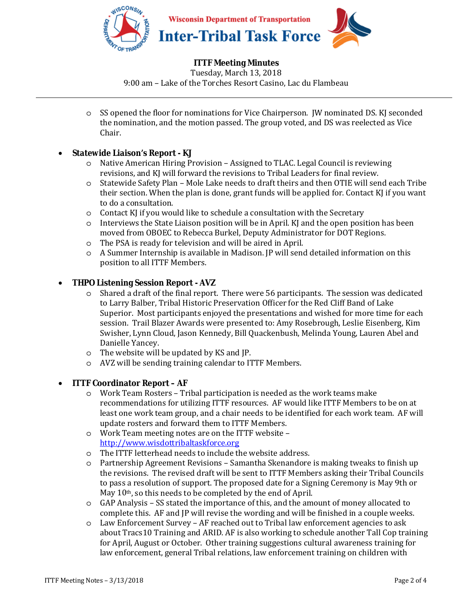

# **ITTF Meeting Minutes**

Tuesday, March 13, 2018 9:00 am – Lake of the Torches Resort Casino, Lac du Flambeau

o SS opened the floor for nominations for Vice Chairperson. JW nominated DS. KJ seconded the nomination, and the motion passed. The group voted, and DS was reelected as Vice Chair.

#### • **Statewide Liaison's Report - KJ**

- o Native American Hiring Provision Assigned to TLAC. Legal Council is reviewing revisions, and KJ will forward the revisions to Tribal Leaders for final review.
- o Statewide Safety Plan Mole Lake needs to draft theirs and then OTIE will send each Tribe their section. When the plan is done, grant funds will be applied for. Contact KJ if you want to do a consultation.
- o Contact KJ if you would like to schedule a consultation with the Secretary
- o Interviews the State Liaison position will be in April. KJ and the open position has been moved from OBOEC to Rebecca Burkel, Deputy Administrator for DOT Regions.
- o The PSA is ready for television and will be aired in April.
- $\circ$  A Summer Internship is available in Madison. [P will send detailed information on this position to all ITTF Members.

# • **THPO Listening Session Report - AVZ**

- o Shared a draft of the final report. There were 56 participants. The session was dedicated to Larry Balber, Tribal Historic Preservation Officer for the Red Cliff Band of Lake Superior. Most participants enjoyed the presentations and wished for more time for each session. Trail Blazer Awards were presented to: Amy Rosebrough, Leslie Eisenberg, Kim Swisher, Lynn Cloud, Jason Kennedy, Bill Quackenbush, Melinda Young, Lauren Abel and Danielle Yancey.
- o The website will be updated by KS and JP.
- o AVZ will be sending training calendar to ITTF Members.

# • **ITTF Coordinator Report – AF**

- o Work Team Rosters Tribal participation is needed as the work teams make recommendations for utilizing ITTF resources. AF would like ITTF Members to be on at least one work team group, and a chair needs to be identified for each work team. AF will update rosters and forward them to ITTF Members.
- o Work Team meeting notes are on the ITTF website http://www.wisdottribaltaskforce.org
- o The ITTF letterhead needs to include the website address.
- o Partnership Agreement Revisions Samantha Skenandore is making tweaks to finish up the revisions. The revised draft will be sent to ITTF Members asking their Tribal Councils to pass a resolution of support. The proposed date for a Signing Ceremony is May 9th or May 10<sup>th</sup>, so this needs to be completed by the end of April.
- o GAP Analysis SS stated the importance of this, and the amount of money allocated to complete this. AF and JP will revise the wording and will be finished in a couple weeks.
- o Law Enforcement Survey AF reached out to Tribal law enforcement agencies to ask about Tracs10 Training and ARID. AF is also working to schedule another Tall Cop training for April, August or October. Other training suggestions cultural awareness training for law enforcement, general Tribal relations, law enforcement training on children with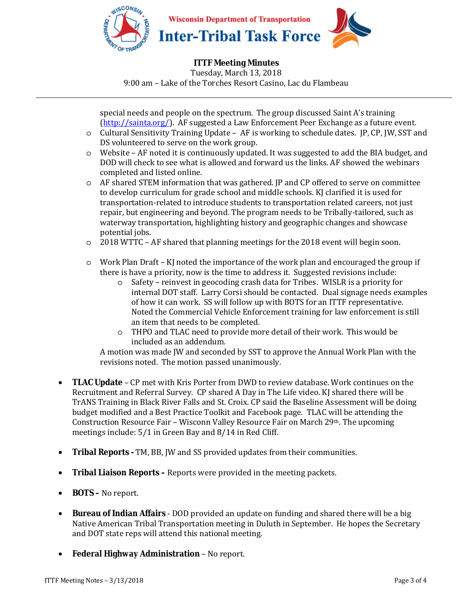

**ITTF Meeting Minutes**  Tuesday, March 13, 2018 9:00 am – Lake of the Torches Resort Casino, Lac du Flambeau

special needs and people on the spectrum. The group discussed Saint A's training (http://sainta.org/). AF suggested a Law Enforcement Peer Exchange as a future event.

- o Cultural Sensitivity Training Update AF is working to schedule dates. JP, CP, JW, SST and DS volunteered to serve on the work group.
- $\circ$  Website AF noted it is continuously updated. It was suggested to add the BIA budget, and DOD will check to see what is allowed and forward us the links. AF showed the webinars completed and listed online.
- o AF shared STEM information that was gathered. JP and CP offered to serve on committee to develop curriculum for grade school and middle schools. KJ clarified it is used for transportation-related to introduce students to transportation related careers, not just repair, but engineering and beyond. The program needs to be Tribally-tailored, such as waterway transportation, highlighting history and geographic changes and showcase potential jobs.
- o 2018 WTTC AF shared that planning meetings for the 2018 event will begin soon.
- o Work Plan Draft KJ noted the importance of the work plan and encouraged the group if there is have a priority, now is the time to address it. Suggested revisions include:
	- o Safety reinvest in geocoding crash data for Tribes. WISLR is a priority for internal DOT staff. Larry Corsi should be contacted. Dual signage needs examples of how it can work. SS will follow up with BOTS for an ITTF representative. Noted the Commercial Vehicle Enforcement training for law enforcement is still an item that needs to be completed.
	- o THPO and TLAC need to provide more detail of their work. This would be included as an addendum.

A motion was made JW and seconded by SST to approve the Annual Work Plan with the revisions noted. The motion passed unanimously.

- **TLAC Update** CP met with Kris Porter from DWD to review database. Work continues on the Recruitment and Referral Survey. CP shared A Day in The Life video. KJ shared there will be TrANS Training in Black River Falls and St. Croix. CP said the Baseline Assessment will be doing budget modified and a Best Practice Toolkit and Facebook page. TLAC will be attending the Construction Resource Fair – Wisconn Valley Resource Fair on March 29th. The upcoming meetings include: 5/1 in Green Bay and 8/14 in Red Cliff.
- **Tribal Reports** TM, BB, JW and SS provided updates from their communities.
- **Tribal Liaison Reports** Reports were provided in the meeting packets.
- **BOTS –** No report.
- **Bureau of Indian Affairs** DOD provided an update on funding and shared there will be a big Native American Tribal Transportation meeting in Duluth in September. He hopes the Secretary and DOT state reps will attend this national meeting.
- **Federal Highway Administration** No report.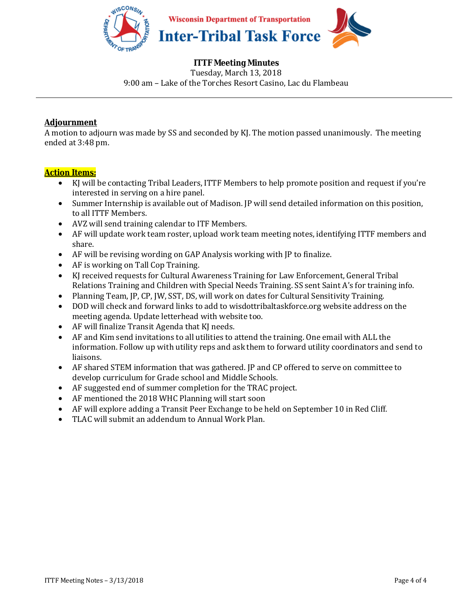

# **ITTF Meeting Minutes**

Tuesday, March 13, 2018 9:00 am – Lake of the Torches Resort Casino, Lac du Flambeau

## **Adjournment**

A motion to adjourn was made by SS and seconded by KJ. The motion passed unanimously. The meeting ended at 3:48 pm.

# **Action Items:**

- KJ will be contacting Tribal Leaders, ITTF Members to help promote position and request if you're interested in serving on a hire panel.
- Summer Internship is available out of Madison. JP will send detailed information on this position, to all ITTF Members.
- AVZ will send training calendar to ITF Members.
- AF will update work team roster, upload work team meeting notes, identifying ITTF members and share.
- AF will be revising wording on GAP Analysis working with JP to finalize.
- AF is working on Tall Cop Training.
- KJ received requests for Cultural Awareness Training for Law Enforcement, General Tribal Relations Training and Children with Special Needs Training. SS sent Saint A's for training info.
- Planning Team, JP, CP, JW, SST, DS, will work on dates for Cultural Sensitivity Training.
- DOD will check and forward links to add to wisdottribaltaskforce.org website address on the meeting agenda. Update letterhead with website too.
- AF will finalize Transit Agenda that KJ needs.
- AF and Kim send invitations to all utilities to attend the training. One email with ALL the information. Follow up with utility reps and ask them to forward utility coordinators and send to liaisons.
- AF shared STEM information that was gathered. JP and CP offered to serve on committee to develop curriculum for Grade school and Middle Schools.
- AF suggested end of summer completion for the TRAC project.
- AF mentioned the 2018 WHC Planning will start soon
- AF will explore adding a Transit Peer Exchange to be held on September 10 in Red Cliff.
- TLAC will submit an addendum to Annual Work Plan.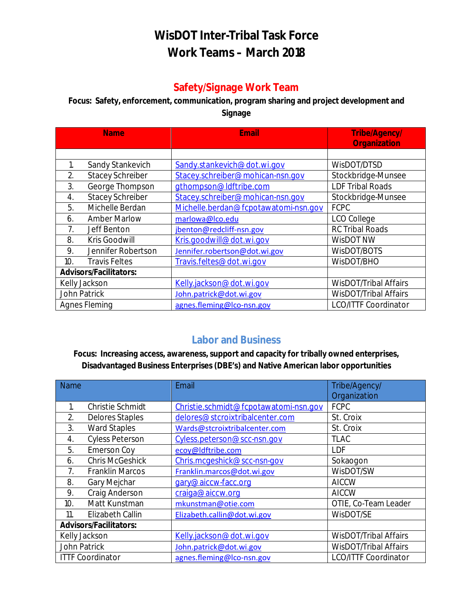# **WisDOT Inter-Tribal Task Force Work Teams – March 2018**

# **Safety/Signage Work Team**

# **Focus: Safety, enforcement, communication, program sharing and project development and Signage**

| <b>Name</b>                   |                         | Email                                  | <b>Tribe/Agency/</b>         |  |
|-------------------------------|-------------------------|----------------------------------------|------------------------------|--|
|                               |                         |                                        | <b>Organization</b>          |  |
|                               |                         |                                        |                              |  |
| 1.                            | Sandy Stankevich        | Sandy.stankevich@dot.wi.gov            | WisDOT/DTSD                  |  |
| 2.                            | <b>Stacey Schreiber</b> | Stacey.schreiber@mohican-nsn.gov       | Stockbridge-Munsee           |  |
| 3.                            | George Thompson         | gthompson@ldftribe.com                 | <b>LDF Tribal Roads</b>      |  |
| 4.                            | <b>Stacey Schreiber</b> | Stacey.schreiber@mohican-nsn.gov       | Stockbridge-Munsee           |  |
| 5.                            | Michelle Berdan         | Michelle.berdan@fcpotawatomi-nsn.gov   | <b>FCPC</b>                  |  |
| 6.                            | <b>Amber Marlow</b>     | marlowa@lco.edu                        | LCO College                  |  |
| 7.                            | Jeff Benton             | jbenton@redcliff-nsn.gov               | <b>RC Tribal Roads</b>       |  |
| 8.                            | Kris Goodwill           | Kris.goodwill@dot.wi.gov               | WisDOT NW                    |  |
| 9.                            | Jennifer Robertson      | Jennifer.robertson@dot.wi.gov          | WisDOT/BOTS                  |  |
| 10.                           | <b>Travis Feltes</b>    | Travis.feltes@dot.wi.gov<br>WisDOT/BHO |                              |  |
| <b>Advisors/Facilitators:</b> |                         |                                        |                              |  |
| Kelly Jackson                 |                         | Kelly.jackson@dot.wi.gov               | WisDOT/Tribal Affairs        |  |
| John Patrick                  |                         | John.patrick@dot.wi.gov                | <b>WisDOT/Tribal Affairs</b> |  |
| <b>Agnes Fleming</b>          |                         | agnes.fleming@lco-nsn.gov              | <b>LCO/ITTF Coordinator</b>  |  |

# **Labor and Business**

**Focus: Increasing access, awareness, support and capacity for tribally owned enterprises, Disadvantaged Business Enterprises (DBE's) and Native American labor opportunities** 

| <b>Name</b>      |                               | Email                                 | Tribe/Agency/                |
|------------------|-------------------------------|---------------------------------------|------------------------------|
|                  |                               |                                       | Organization                 |
|                  | <b>Christie Schmidt</b>       | Christie.schmidt@fcpotawatomi-nsn.gov | <b>FCPC</b>                  |
| 2.               | <b>Delores Staples</b>        | delores@stcroixtribalcenter.com       | St. Croix                    |
| 3.               | <b>Ward Staples</b>           | Wards@stcroixtribalcenter.com         | St. Croix                    |
| $\overline{4}$ . | <b>Cyless Peterson</b>        | Cyless.peterson@scc-nsn.gov           | <b>TLAC</b>                  |
| 5.               | <b>Emerson Coy</b>            | ecoy@ldftribe.com                     | LDF                          |
| 6.               | <b>Chris McGeshick</b>        | Chris.mcgeshick@scc-nsn-gov           | Sokaogon                     |
| 7.               | <b>Franklin Marcos</b>        | Franklin.marcos@dot.wi.gov            | WisDOT/SW                    |
| 8.               | Gary Mejchar                  | gary@aiccw-facc.org                   | <b>AICCW</b>                 |
| 9.               | Craig Anderson                | craiga@aiccw.org                      | <b>AICCW</b>                 |
| 10.              | Matt Kunstman                 | mkunstman@otie.com                    | OTIE, Co-Team Leader         |
| 11.              | Elizabeth Callin              | Elizabeth.callin@dot.wi.gov           | WisDOT/SE                    |
|                  | <b>Advisors/Facilitators:</b> |                                       |                              |
| Kelly Jackson    |                               | Kelly.jackson@dot.wi.gov              | <b>WisDOT/Tribal Affairs</b> |
| John Patrick     |                               | John.patrick@dot.wi.gov               | <b>WisDOT/Tribal Affairs</b> |
|                  | <b>ITTF Coordinator</b>       | agnes.fleming@lco-nsn.gov             | <b>LCO/ITTF Coordinator</b>  |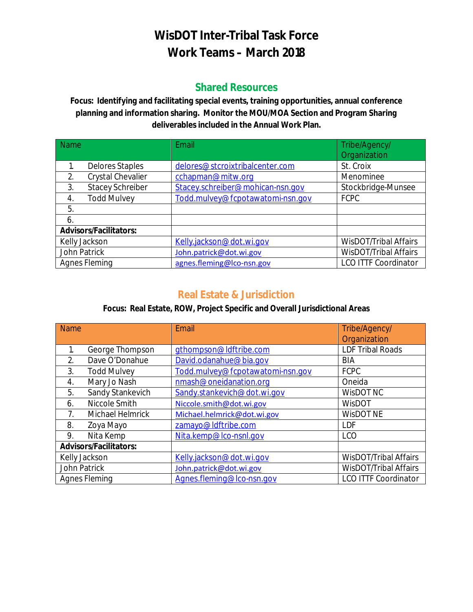# **WisDOT Inter-Tribal Task Force Work Teams – March 2018**

# **Shared Resources**

**Focus: Identifying and facilitating special events, training opportunities, annual conference planning and information sharing. Monitor the MOU/MOA Section and Program Sharing deliverables included in the Annual Work Plan.** 

| <b>Name</b>   |                               | Email                            | Tribe/Agency/                |  |
|---------------|-------------------------------|----------------------------------|------------------------------|--|
|               |                               |                                  | Organization                 |  |
|               | <b>Delores Staples</b>        | delores@stcroixtribalcenter.com  | St. Croix                    |  |
| 2.            | Crystal Chevalier             | cchapman@mitw.org                | Menominee                    |  |
| 3.            | <b>Stacey Schreiber</b>       | Stacey.schreiber@mohican-nsn.gov | Stockbridge-Munsee           |  |
| 4.            | <b>Todd Mulvey</b>            | Todd.mulvey@fcpotawatomi-nsn.gov | <b>FCPC</b>                  |  |
| 5.            |                               |                                  |                              |  |
| 6.            |                               |                                  |                              |  |
|               | <b>Advisors/Facilitators:</b> |                                  |                              |  |
| Kelly Jackson |                               | Kelly.jackson@dot.wi.gov         | WisDOT/Tribal Affairs        |  |
| John Patrick  |                               | John.patrick@dot.wi.gov          | <b>WisDOT/Tribal Affairs</b> |  |
| Agnes Fleming |                               | agnes.fleming@lco-nsn.gov        | <b>LCO ITTF Coordinator</b>  |  |

# **Real Estate & Jurisdiction**

# **Focus: Real Estate, ROW, Project Specific and Overall Jurisdictional Areas**

| <b>Name</b>          |                               | Email                                                    | Tribe/Agency/                |  |
|----------------------|-------------------------------|----------------------------------------------------------|------------------------------|--|
|                      |                               |                                                          | Organization                 |  |
|                      | George Thompson               | gthompson@ldftribe.com                                   | <b>LDF Tribal Roads</b>      |  |
| 2.                   | Dave O'Donahue                | David.odanahue@bia.gov                                   | <b>BIA</b>                   |  |
| 3.                   | <b>Todd Mulvey</b>            | Todd.mulvey@fcpotawatomi-nsn.gov                         | <b>FCPC</b>                  |  |
| 4.                   | Mary Jo Nash                  | nmash@oneidanation.org                                   | Oneida                       |  |
| 5.                   | Sandy Stankevich              | Sandy.stankevich@dot.wi.gov                              | WisDOT NC                    |  |
| 6.                   | Niccole Smith                 | Niccole.smith@dot.wi.gov                                 | <b>WisDOT</b>                |  |
| 7.                   | Michael Helmrick              | Michael.helmrick@dot.wi.gov                              | <b>WisDOT NE</b>             |  |
| 8.                   | Zoya Mayo                     | zamayo@ldftribe.com                                      | <b>LDF</b>                   |  |
| 9.                   | Nita Kemp                     | Nita.kemp@lco-nsnl.gov                                   | LCO                          |  |
|                      | <b>Advisors/Facilitators:</b> |                                                          |                              |  |
| Kelly Jackson        |                               | Kelly.jackson@dot.wi.gov                                 | WisDOT/Tribal Affairs        |  |
| John Patrick         |                               | John.patrick@dot.wi.gov                                  | <b>WisDOT/Tribal Affairs</b> |  |
| <b>Agnes Fleming</b> |                               | <b>LCO ITTF Coordinator</b><br>Agnes.fleming@lco-nsn.gov |                              |  |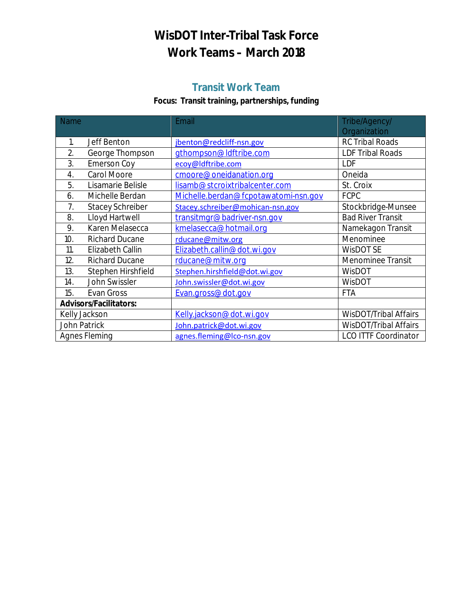# **WisDOT Inter-Tribal Task Force Work Teams – March 2018**

# **Transit Work Team**

# **Focus: Transit training, partnerships, funding**

| <b>Name</b>                   |                         | Email                                | Tribe/Agency/<br>Organization |  |
|-------------------------------|-------------------------|--------------------------------------|-------------------------------|--|
| 1.                            | Jeff Benton             | jbenton@redcliff-nsn.gov             | <b>RC Tribal Roads</b>        |  |
| 2.                            | George Thompson         | gthompson@ldftribe.com               | <b>LDF Tribal Roads</b>       |  |
| 3.                            | <b>Emerson Coy</b>      | ecoy@ldftribe.com                    | LDF                           |  |
| 4.                            | Carol Moore             | cmoore@oneidanation.org              | Oneida                        |  |
| 5.                            | Lisamarie Belisle       | lisamb@stcroixtribalcenter.com       | St. Croix                     |  |
| 6.                            | Michelle Berdan         | Michelle.berdan@fcpotawatomi-nsn.gov | <b>FCPC</b>                   |  |
| 7.                            | <b>Stacey Schreiber</b> | Stacey.schreiber@mohican-nsn.gov     | Stockbridge-Munsee            |  |
| 8.                            | Lloyd Hartwell          | transitmgr@badriver-nsn.gov          | <b>Bad River Transit</b>      |  |
| 9.                            | Karen Melasecca         | kmelasecca@hotmail.org               | Namekagon Transit             |  |
| 10.                           | <b>Richard Ducane</b>   | rducane@mitw.org                     | Menominee                     |  |
| 11.                           | Elizabeth Callin        | Elizabeth.callin@dot.wi.gov          | <b>WisDOT SE</b>              |  |
| 12.                           | <b>Richard Ducane</b>   | rducane@mitw.org                     | <b>Menominee Transit</b>      |  |
| 13.                           | Stephen Hirshfield      | Stephen.hirshfield@dot.wi.gov        | WisDOT                        |  |
| 14.                           | John Swissler           | John.swissler@dot.wi.gov             | WisDOT                        |  |
| 15.                           | Evan Gross              | Evan.gross@dot.gov                   | <b>FTA</b>                    |  |
| <b>Advisors/Facilitators:</b> |                         |                                      |                               |  |
| Kelly Jackson                 |                         | Kelly.jackson@dot.wi.gov             | <b>WisDOT/Tribal Affairs</b>  |  |
| John Patrick                  |                         | John.patrick@dot.wi.gov              | <b>WisDOT/Tribal Affairs</b>  |  |
| <b>Agnes Fleming</b>          |                         | agnes.fleming@lco-nsn.gov            | <b>LCO ITTF Coordinator</b>   |  |